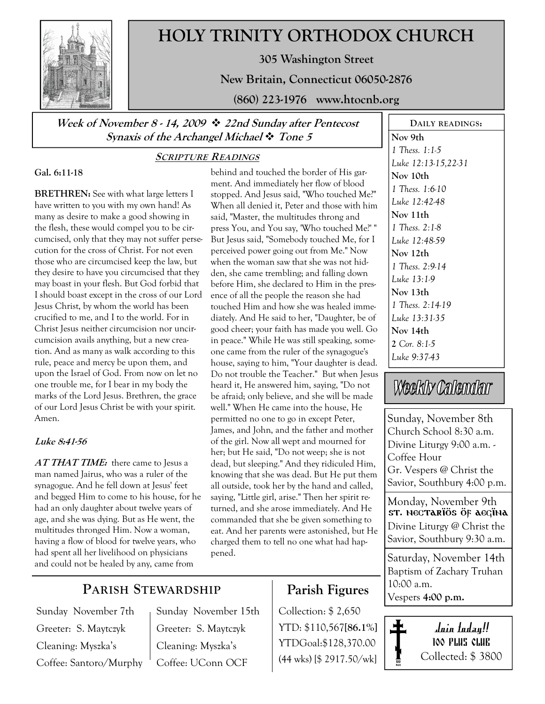

# HOLY TRINITY ORTHODOX CHURCH

305 Washington Street

New Britain, Connecticut 06050-2876

(860) 223-1976 www.htocnb.org

Week of November 8 - 14, 2009  $\div$  22nd Sunday after Pentecost Synaxis of the Archangel Michael  $\cdot$  Tone 5

SCRIPTURE READINGS

### Gal. 6:11-18

BRETHREN: See with what large letters I have written to you with my own hand! As many as desire to make a good showing in the flesh, these would compel you to be circumcised, only that they may not suffer persecution for the cross of Christ. For not even those who are circumcised keep the law, but they desire to have you circumcised that they may boast in your flesh. But God forbid that I should boast except in the cross of our Lord Jesus Christ, by whom the world has been crucified to me, and I to the world. For in Christ Jesus neither circumcision nor uncircumcision avails anything, but a new creation. And as many as walk according to this rule, peace and mercy be upon them, and upon the Israel of God. From now on let no one trouble me, for I bear in my body the marks of the Lord Jesus. Brethren, the grace of our Lord Jesus Christ be with your spirit. Amen.

#### Luke 8:41-56

AT THAT TIME: there came to Jesus a man named Jairus, who was a ruler of the synagogue. And he fell down at Jesus' feet and begged Him to come to his house, for he had an only daughter about twelve years of age, and she was dying. But as He went, the multitudes thronged Him. Now a woman, having a flow of blood for twelve years, who had spent all her livelihood on physicians and could not be healed by any, came from

ment. And immediately her flow of blood stopped. And Jesus said, "Who touched Me?" When all denied it, Peter and those with him said, "Master, the multitudes throng and press You, and You say, 'Who touched Me?' " But Jesus said, "Somebody touched Me, for I perceived power going out from Me." Now when the woman saw that she was not hidden, she came trembling; and falling down before Him, she declared to Him in the presence of all the people the reason she had touched Him and how she was healed immediately. And He said to her, "Daughter, be of good cheer; your faith has made you well. Go in peace." While He was still speaking, someone came from the ruler of the synagogue's house, saying to him, "Your daughter is dead. Do not trouble the Teacher." But when Jesus heard it, He answered him, saying, "Do not be afraid; only believe, and she will be made well." When He came into the house, He permitted no one to go in except Peter, James, and John, and the father and mother of the girl. Now all wept and mourned for her; but He said, "Do not weep; she is not dead, but sleeping." And they ridiculed Him, knowing that she was dead. But He put them all outside, took her by the hand and called, saying, "Little girl, arise." Then her spirit returned, and she arose immediately. And He commanded that she be given something to eat. And her parents were astonished, but He charged them to tell no one what had happened.

behind and touched the border of His gar-

1 Thess. 1:1-5 Luke 12:13-15,22-31 Nov 10th 1 Thess. 1:6-10 Luke 12:42-48 Nov 11th 1 Thess. 2:1-8 Luke 12:48-59 Nov 12th 1 Thess. 2:9-14 Luke 13:1-9 Nov 13th 1 Thess. 2:14-19 Luke 13:31-35 Nov 14th 2 Cor. 8:1-5 Luke 9:37-43

DAILY READINGS:

Nov 9th

# Weekly Calendar

Sunday, November 8th Church School 8:30 a.m. Divine Liturgy 9:00 a.m. - Coffee Hour Gr. Vespers @ Christ the Savior, Southbury 4:00 p.m.

Monday, November 9th ST. NECTARIÖS ÖF AEGINA Divine Liturgy @ Christ the Savior, Southbury 9:30 a.m.

Saturday, November 14th Baptism of Zachary Truhan 10:00 a.m. Vespers 4:00 p.m.

Join today!! 100 PLUS CLUB Collected: \$ 3800

## PARISH STEWARDSHIP

Sunday November 7th Greeter: S. Maytczyk Cleaning: Myszka's Coffee: Santoro/Murphy Sunday November 15th Greeter: S. Maytczyk Cleaning: Myszka's Coffee: UConn OCF

# Parish Figures

Collection: \$ 2,650 YTD: \$110,567[86.1%] YTDGoal:\$128,370.00 (44 wks) [\$ 2917.50/wk]